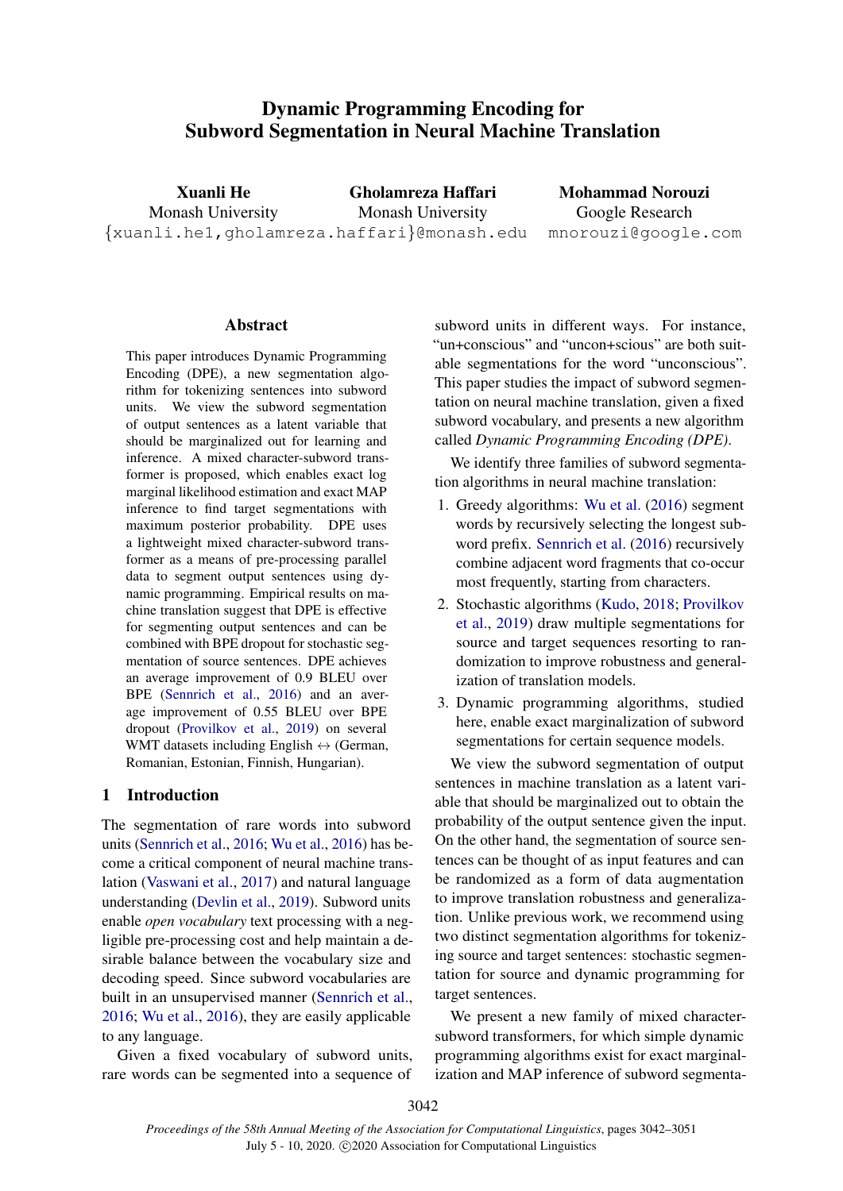# Dynamic Programming Encoding for Subword Segmentation in Neural Machine Translation

Xuanli He Monash University Gholamreza Haffari Monash University {xuanli.he1,gholamreza.haffari}@monash.edu mnorouzi@google.com Mohammad Norouzi Google Research

# Abstract

This paper introduces Dynamic Programming Encoding (DPE), a new segmentation algorithm for tokenizing sentences into subword units. We view the subword segmentation of output sentences as a latent variable that should be marginalized out for learning and inference. A mixed character-subword transformer is proposed, which enables exact log marginal likelihood estimation and exact MAP inference to find target segmentations with maximum posterior probability. DPE uses a lightweight mixed character-subword transformer as a means of pre-processing parallel data to segment output sentences using dynamic programming. Empirical results on machine translation suggest that DPE is effective for segmenting output sentences and can be combined with BPE dropout for stochastic segmentation of source sentences. DPE achieves an average improvement of 0.9 BLEU over BPE [\(Sennrich et al.,](#page-9-0) [2016\)](#page-9-0) and an average improvement of 0.55 BLEU over BPE dropout [\(Provilkov et al.,](#page-9-1) [2019\)](#page-9-1) on several WMT datasets including English  $\leftrightarrow$  (German, Romanian, Estonian, Finnish, Hungarian).

# 1 Introduction

The segmentation of rare words into subword units [\(Sennrich et al.,](#page-9-0) [2016;](#page-9-0) [Wu et al.,](#page-9-2) [2016\)](#page-9-2) has become a critical component of neural machine translation [\(Vaswani et al.,](#page-9-3) [2017\)](#page-9-3) and natural language understanding [\(Devlin et al.,](#page-8-0) [2019\)](#page-8-0). Subword units enable *open vocabulary* text processing with a negligible pre-processing cost and help maintain a desirable balance between the vocabulary size and decoding speed. Since subword vocabularies are built in an unsupervised manner [\(Sennrich et al.,](#page-9-0) [2016;](#page-9-0) [Wu et al.,](#page-9-2) [2016\)](#page-9-2), they are easily applicable to any language.

Given a fixed vocabulary of subword units, rare words can be segmented into a sequence of

subword units in different ways. For instance, "un+conscious" and "uncon+scious" are both suitable segmentations for the word "unconscious". This paper studies the impact of subword segmentation on neural machine translation, given a fixed subword vocabulary, and presents a new algorithm called *Dynamic Programming Encoding (DPE)*.

We identify three families of subword segmentation algorithms in neural machine translation:

- 1. Greedy algorithms: [Wu et al.](#page-9-2) [\(2016\)](#page-9-2) segment words by recursively selecting the longest subword prefix. [Sennrich et al.](#page-9-0) [\(2016\)](#page-9-0) recursively combine adjacent word fragments that co-occur most frequently, starting from characters.
- 2. Stochastic algorithms [\(Kudo,](#page-8-1) [2018;](#page-8-1) [Provilkov](#page-9-1) [et al.,](#page-9-1) [2019\)](#page-9-1) draw multiple segmentations for source and target sequences resorting to randomization to improve robustness and generalization of translation models.
- 3. Dynamic programming algorithms, studied here, enable exact marginalization of subword segmentations for certain sequence models.

We view the subword segmentation of output sentences in machine translation as a latent variable that should be marginalized out to obtain the probability of the output sentence given the input. On the other hand, the segmentation of source sentences can be thought of as input features and can be randomized as a form of data augmentation to improve translation robustness and generalization. Unlike previous work, we recommend using two distinct segmentation algorithms for tokenizing source and target sentences: stochastic segmentation for source and dynamic programming for target sentences.

We present a new family of mixed charactersubword transformers, for which simple dynamic programming algorithms exist for exact marginalization and MAP inference of subword segmenta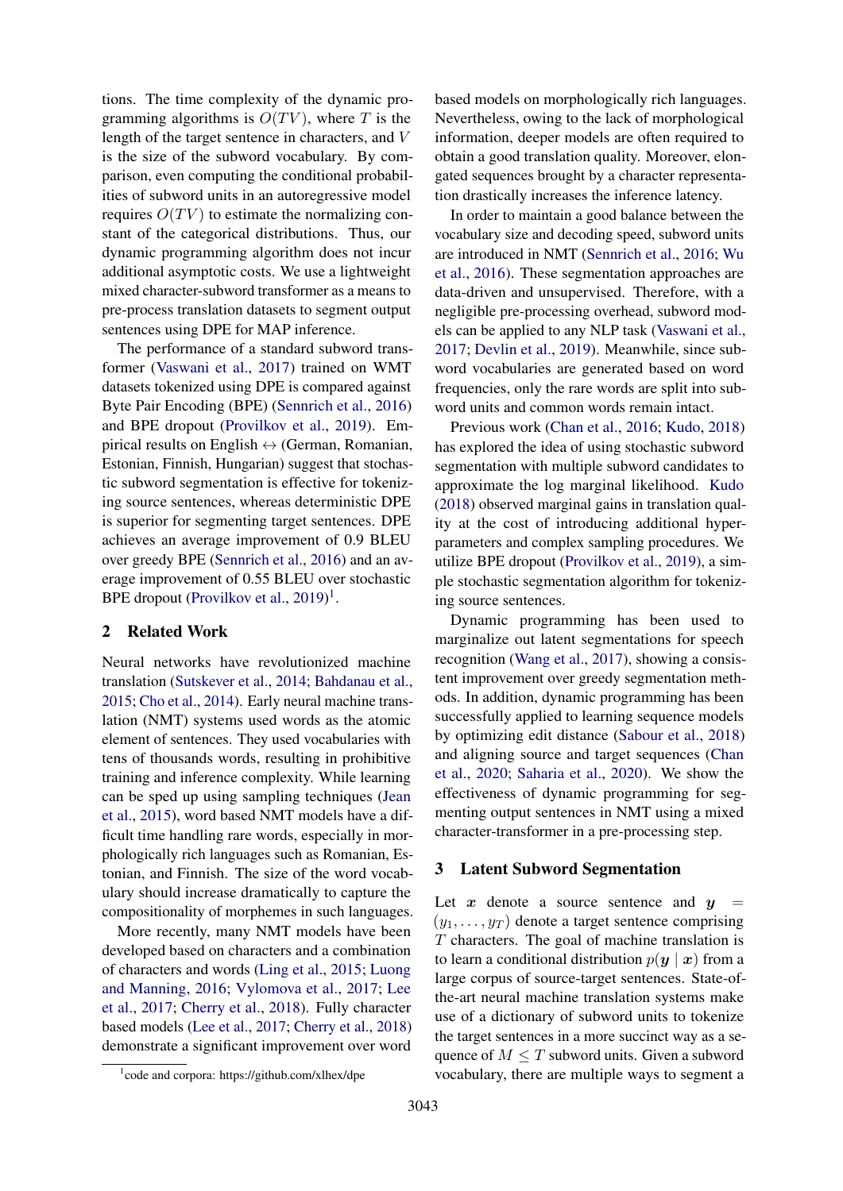tions. The time complexity of the dynamic programming algorithms is  $O(TV)$ , where T is the length of the target sentence in characters, and V is the size of the subword vocabulary. By comparison, even computing the conditional probabilities of subword units in an autoregressive model requires  $O(TV)$  to estimate the normalizing constant of the categorical distributions. Thus, our dynamic programming algorithm does not incur additional asymptotic costs. We use a lightweight mixed character-subword transformer as a means to pre-process translation datasets to segment output sentences using DPE for MAP inference.

The performance of a standard subword transformer [\(Vaswani et al.,](#page-9-3) [2017\)](#page-9-3) trained on WMT datasets tokenized using DPE is compared against Byte Pair Encoding (BPE) [\(Sennrich et al.,](#page-9-0) [2016\)](#page-9-0) and BPE dropout [\(Provilkov et al.,](#page-9-1) [2019\)](#page-9-1). Empirical results on English  $\leftrightarrow$  (German, Romanian, Estonian, Finnish, Hungarian) suggest that stochastic subword segmentation is effective for tokenizing source sentences, whereas deterministic DPE is superior for segmenting target sentences. DPE achieves an average improvement of 0.9 BLEU over greedy BPE [\(Sennrich et al.,](#page-9-0) [2016\)](#page-9-0) and an average improvement of 0.55 BLEU over stochastic BPE dropout [\(Provilkov et al.,](#page-9-1) [2019\)](#page-9-1)<sup>[1](#page-1-0)</sup>.

# 2 Related Work

Neural networks have revolutionized machine translation [\(Sutskever et al.,](#page-9-4) [2014;](#page-9-4) [Bahdanau et al.,](#page-8-2) [2015;](#page-8-2) [Cho et al.,](#page-8-3) [2014\)](#page-8-3). Early neural machine translation (NMT) systems used words as the atomic element of sentences. They used vocabularies with tens of thousands words, resulting in prohibitive training and inference complexity. While learning can be sped up using sampling techniques [\(Jean](#page-8-4) [et al.,](#page-8-4) [2015\)](#page-8-4), word based NMT models have a difficult time handling rare words, especially in morphologically rich languages such as Romanian, Estonian, and Finnish. The size of the word vocabulary should increase dramatically to capture the compositionality of morphemes in such languages.

More recently, many NMT models have been developed based on characters and a combination of characters and words [\(Ling et al.,](#page-9-5) [2015;](#page-9-5) [Luong](#page-9-6) [and Manning,](#page-9-6) [2016;](#page-9-6) [Vylomova et al.,](#page-9-7) [2017;](#page-9-7) [Lee](#page-8-5) [et al.,](#page-8-5) [2017;](#page-8-5) [Cherry et al.,](#page-8-6) [2018\)](#page-8-6). Fully character based models [\(Lee et al.,](#page-8-5) [2017;](#page-8-5) [Cherry et al.,](#page-8-6) [2018\)](#page-8-6) demonstrate a significant improvement over word

based models on morphologically rich languages. Nevertheless, owing to the lack of morphological information, deeper models are often required to obtain a good translation quality. Moreover, elongated sequences brought by a character representation drastically increases the inference latency.

In order to maintain a good balance between the vocabulary size and decoding speed, subword units are introduced in NMT [\(Sennrich et al.,](#page-9-0) [2016;](#page-9-0) [Wu](#page-9-2) [et al.,](#page-9-2) [2016\)](#page-9-2). These segmentation approaches are data-driven and unsupervised. Therefore, with a negligible pre-processing overhead, subword models can be applied to any NLP task [\(Vaswani et al.,](#page-9-3) [2017;](#page-9-3) [Devlin et al.,](#page-8-0) [2019\)](#page-8-0). Meanwhile, since subword vocabularies are generated based on word frequencies, only the rare words are split into subword units and common words remain intact.

Previous work [\(Chan et al.,](#page-8-7) [2016;](#page-8-7) [Kudo,](#page-8-1) [2018\)](#page-8-1) has explored the idea of using stochastic subword segmentation with multiple subword candidates to approximate the log marginal likelihood. [Kudo](#page-8-1) [\(2018\)](#page-8-1) observed marginal gains in translation quality at the cost of introducing additional hyperparameters and complex sampling procedures. We utilize BPE dropout [\(Provilkov et al.,](#page-9-1) [2019\)](#page-9-1), a simple stochastic segmentation algorithm for tokenizing source sentences.

Dynamic programming has been used to marginalize out latent segmentations for speech recognition [\(Wang et al.,](#page-9-8) [2017\)](#page-9-8), showing a consistent improvement over greedy segmentation methods. In addition, dynamic programming has been successfully applied to learning sequence models by optimizing edit distance [\(Sabour et al.,](#page-9-9) [2018\)](#page-9-9) and aligning source and target sequences [\(Chan](#page-8-8) [et al.,](#page-8-8) [2020;](#page-8-8) [Saharia et al.,](#page-9-10) [2020\)](#page-9-10). We show the effectiveness of dynamic programming for segmenting output sentences in NMT using a mixed character-transformer in a pre-processing step.

# 3 Latent Subword Segmentation

Let  $x$  denote a source sentence and  $y =$  $(y_1, \ldots, y_T)$  denote a target sentence comprising T characters. The goal of machine translation is to learn a conditional distribution  $p(\mathbf{y} \mid \mathbf{x})$  from a large corpus of source-target sentences. State-ofthe-art neural machine translation systems make use of a dictionary of subword units to tokenize the target sentences in a more succinct way as a sequence of  $M \leq T$  subword units. Given a subword vocabulary, there are multiple ways to segment a

<span id="page-1-0"></span><sup>1</sup> code and corpora: https://github.com/xlhex/dpe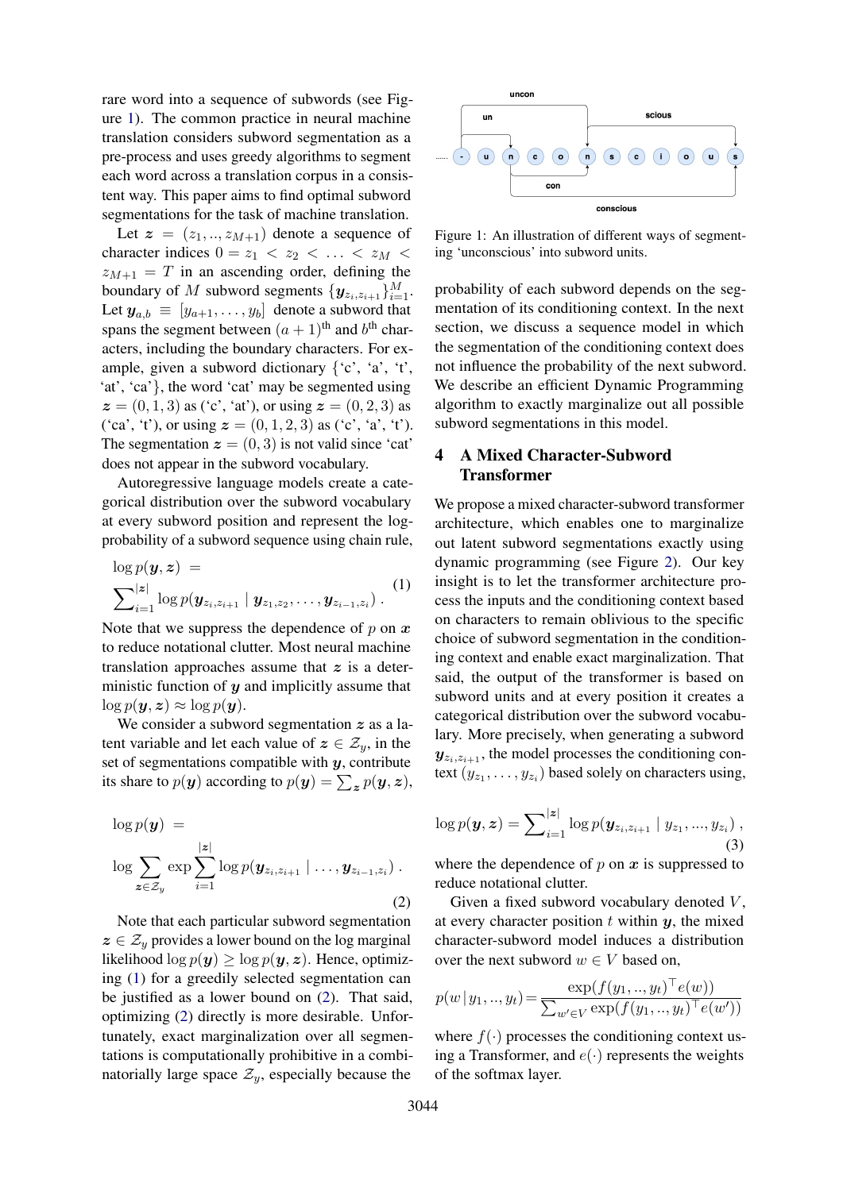rare word into a sequence of subwords (see Figure [1\)](#page-2-0). The common practice in neural machine translation considers subword segmentation as a pre-process and uses greedy algorithms to segment each word across a translation corpus in a consistent way. This paper aims to find optimal subword segmentations for the task of machine translation.

Let  $\mathbf{z} = (z_1, \ldots, z_{M+1})$  denote a sequence of character indices  $0 = z_1 < z_2 < \ldots < z_M <$  $z_{M+1} = T$  in an ascending order, defining the boundary of M subword segments  $\{y_{z_i,z_{i+1}}\}_{i=1}^M$ . Let  $y_{a,b} \equiv [y_{a+1}, \ldots, y_b]$  denote a subword that spans the segment between  $(a + 1)$ <sup>th</sup> and  $b$ <sup>th</sup> characters, including the boundary characters. For example, given a subword dictionary {'c', 'a', 't', 'at', 'ca'}, the word 'cat' may be segmented using  $z = (0, 1, 3)$  as ('c', 'at'), or using  $z = (0, 2, 3)$  as ('ca', 't'), or using  $z = (0, 1, 2, 3)$  as ('c', 'a', 't'). The segmentation  $z = (0, 3)$  is not valid since 'cat' does not appear in the subword vocabulary.

Autoregressive language models create a categorical distribution over the subword vocabulary at every subword position and represent the logprobability of a subword sequence using chain rule,

$$
\log p(\boldsymbol{y}, \boldsymbol{z}) = \sum_{i=1}^{|\boldsymbol{z}|} \log p(\boldsymbol{y}_{z_i, z_{i+1}} | \boldsymbol{y}_{z_1, z_2}, \dots, \boldsymbol{y}_{z_{i-1}, z_i}). \quad (1)
$$

Note that we suppress the dependence of  $p$  on  $x$ to reduce notational clutter. Most neural machine translation approaches assume that  $z$  is a deterministic function of  $y$  and implicitly assume that  $\log p(\boldsymbol{y}, \boldsymbol{z}) \approx \log p(\boldsymbol{y}).$ 

We consider a subword segmentation  $z$  as a latent variable and let each value of  $z \in \mathcal{Z}_y$ , in the set of segmentations compatible with  $y$ , contribute its share to  $p(\boldsymbol{y})$  according to  $p(\boldsymbol{y}) = \sum_{\boldsymbol{z}} p(\boldsymbol{y}, \boldsymbol{z}),$ 

<span id="page-2-2"></span>
$$
\log p(\boldsymbol{y}) = \log \sum_{\boldsymbol{z} \in \mathcal{Z}_{\boldsymbol{y}}} \exp \sum_{i=1}^{|\boldsymbol{z}|} \log p(\boldsymbol{y}_{z_i, z_{i+1}} | \ldots, \boldsymbol{y}_{z_{i-1}, z_i}).
$$
\n(2)

Note that each particular subword segmentation  $z \in \mathcal{Z}_v$  provides a lower bound on the log marginal likelihood  $\log p(\mathbf{y}) \geq \log p(\mathbf{y}, \mathbf{z})$ . Hence, optimizing [\(1\)](#page-2-1) for a greedily selected segmentation can be justified as a lower bound on [\(2\)](#page-2-2). That said, optimizing [\(2\)](#page-2-2) directly is more desirable. Unfortunately, exact marginalization over all segmentations is computationally prohibitive in a combinatorially large space  $\mathcal{Z}_y$ , especially because the

<span id="page-2-0"></span>

Figure 1: An illustration of different ways of segmenting 'unconscious' into subword units.

probability of each subword depends on the segmentation of its conditioning context. In the next section, we discuss a sequence model in which the segmentation of the conditioning context does not influence the probability of the next subword. We describe an efficient Dynamic Programming algorithm to exactly marginalize out all possible subword segmentations in this model.

# 4 A Mixed Character-Subword **Transformer**

<span id="page-2-1"></span>We propose a mixed character-subword transformer architecture, which enables one to marginalize out latent subword segmentations exactly using dynamic programming (see Figure [2\)](#page-3-0). Our key insight is to let the transformer architecture process the inputs and the conditioning context based on characters to remain oblivious to the specific choice of subword segmentation in the conditioning context and enable exact marginalization. That said, the output of the transformer is based on subword units and at every position it creates a categorical distribution over the subword vocabulary. More precisely, when generating a subword  $y_{z_i,z_{i+1}}$ , the model processes the conditioning context  $(y_{z_1},..., y_{z_i})$  based solely on characters using,

<span id="page-2-3"></span>
$$
\log p(\bm{y}, \bm{z}) = \sum_{i=1}^{|\bm{z}|} \log p(\bm{y}_{z_i, z_{i+1}} \mid y_{z_1}, ..., y_{z_i}),
$$
\n(3)

where the dependence of  $p$  on  $x$  is suppressed to reduce notational clutter.

Given a fixed subword vocabulary denoted  $V$ , at every character position  $t$  within  $y$ , the mixed character-subword model induces a distribution over the next subword  $w \in V$  based on,

$$
p(w | y_1, ..., y_t) = \frac{\exp(f(y_1, ..., y_t)^\top e(w))}{\sum_{w' \in V} \exp(f(y_1, ..., y_t)^\top e(w'))}
$$

where  $f(\cdot)$  processes the conditioning context using a Transformer, and  $e(\cdot)$  represents the weights of the softmax layer.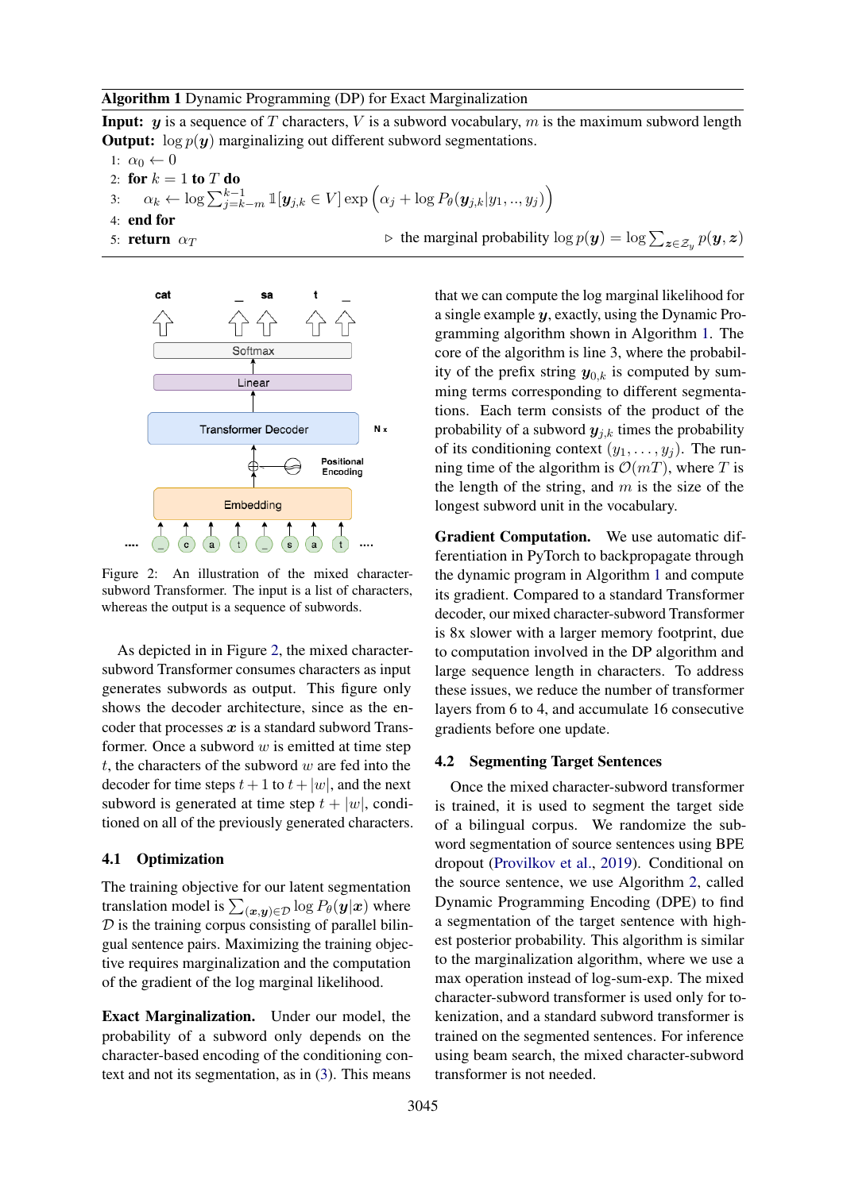### <span id="page-3-1"></span>Algorithm 1 Dynamic Programming (DP) for Exact Marginalization

**Input:**  $\boldsymbol{v}$  is a sequence of  $T$  characters,  $V$  is a subword vocabulary,  $m$  is the maximum subword length **Output:**  $\log p(y)$  marginalizing out different subword segmentations.

1:  $\alpha_0 \leftarrow 0$ 2: for  $k = 1$  to  $T$  do 3:  $\alpha_k \leftarrow \log \sum_{j=k-m}^{k-1} \mathbb{I}[\mathbf{y}_{j,k} \in V] \exp \left( \alpha_j + \log P_\theta(\mathbf{y}_{j,k} | y_1, ..., y_j) \right)$ 4: end for 5: return  $\alpha_T$  $\triangleright$  the marginal probability  $\log p(\bm{y}) = \log \sum_{\bm{z} \in \mathcal{Z}_y} p(\bm{y}, \bm{z})$ 

<span id="page-3-0"></span>

Figure 2: An illustration of the mixed charactersubword Transformer. The input is a list of characters, whereas the output is a sequence of subwords.

As depicted in in Figure [2,](#page-3-0) the mixed charactersubword Transformer consumes characters as input generates subwords as output. This figure only shows the decoder architecture, since as the encoder that processes  $x$  is a standard subword Transformer. Once a subword  $w$  is emitted at time step t, the characters of the subword  $w$  are fed into the decoder for time steps  $t+1$  to  $t+|w|$ , and the next subword is generated at time step  $t + |w|$ , conditioned on all of the previously generated characters.

### 4.1 Optimization

The training objective for our latent segmentation translation model is  $\sum_{(\bm x,\bm y)\in\mathcal{D}} \log P_{\theta}(\bm y|\bm x)$  where  $D$  is the training corpus consisting of parallel bilingual sentence pairs. Maximizing the training objective requires marginalization and the computation of the gradient of the log marginal likelihood.

Exact Marginalization. Under our model, the probability of a subword only depends on the character-based encoding of the conditioning context and not its segmentation, as in [\(3\)](#page-2-3). This means

that we can compute the log marginal likelihood for a single example y, exactly, using the Dynamic Programming algorithm shown in Algorithm [1.](#page-3-1) The core of the algorithm is line 3, where the probability of the prefix string  $y_{0,k}$  is computed by summing terms corresponding to different segmentations. Each term consists of the product of the probability of a subword  $y_{j,k}$  times the probability of its conditioning context  $(y_1, \ldots, y_i)$ . The running time of the algorithm is  $\mathcal{O}(mT)$ , where T is the length of the string, and  $m$  is the size of the longest subword unit in the vocabulary.

Gradient Computation. We use automatic differentiation in PyTorch to backpropagate through the dynamic program in Algorithm [1](#page-3-1) and compute its gradient. Compared to a standard Transformer decoder, our mixed character-subword Transformer is 8x slower with a larger memory footprint, due to computation involved in the DP algorithm and large sequence length in characters. To address these issues, we reduce the number of transformer layers from 6 to 4, and accumulate 16 consecutive gradients before one update.

#### 4.2 Segmenting Target Sentences

Once the mixed character-subword transformer is trained, it is used to segment the target side of a bilingual corpus. We randomize the subword segmentation of source sentences using BPE dropout [\(Provilkov et al.,](#page-9-1) [2019\)](#page-9-1). Conditional on the source sentence, we use Algorithm [2,](#page-4-0) called Dynamic Programming Encoding (DPE) to find a segmentation of the target sentence with highest posterior probability. This algorithm is similar to the marginalization algorithm, where we use a max operation instead of log-sum-exp. The mixed character-subword transformer is used only for tokenization, and a standard subword transformer is trained on the segmented sentences. For inference using beam search, the mixed character-subword transformer is not needed.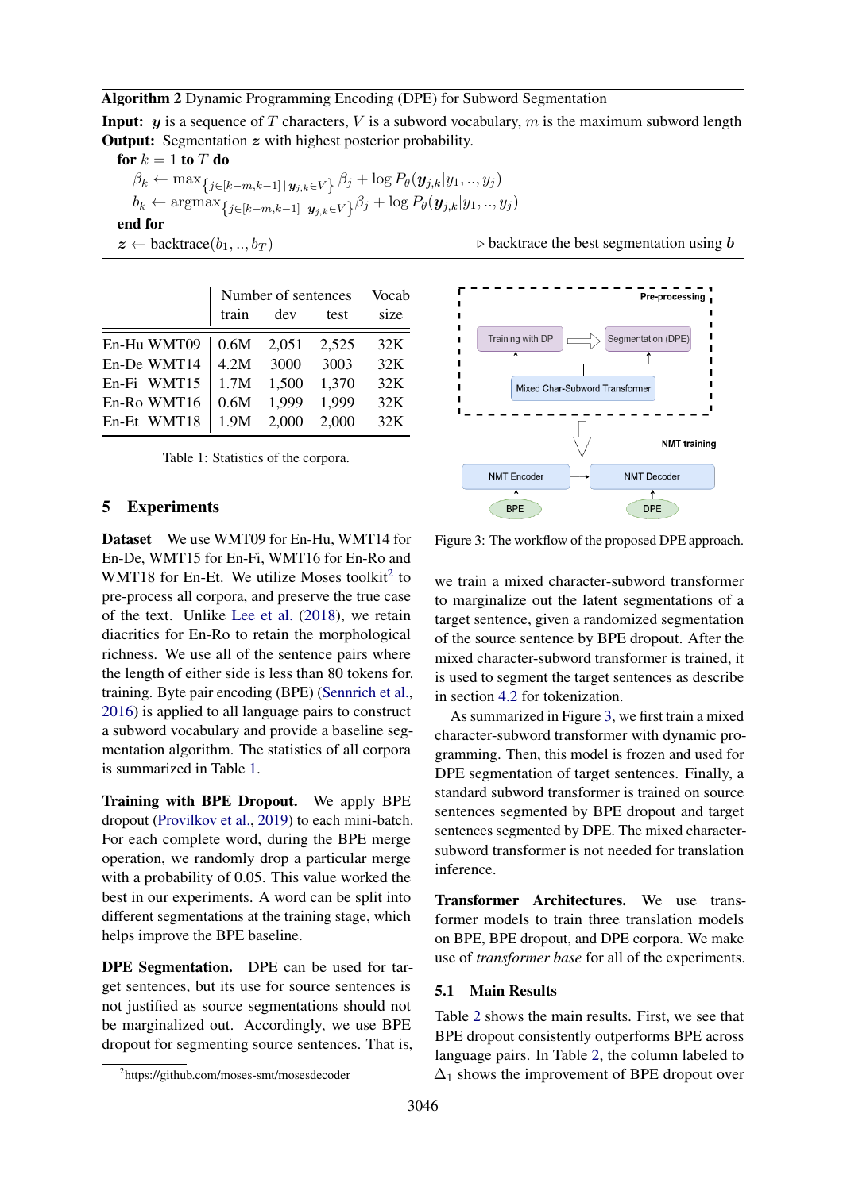### <span id="page-4-0"></span>Algorithm 2 Dynamic Programming Encoding (DPE) for Subword Segmentation

**Input:**  $\boldsymbol{v}$  is a sequence of T characters, V is a subword vocabulary,  $m$  is the maximum subword length **Output:** Segmentation z with highest posterior probability.

**for** 
$$
k = 1
$$
 **to**  $T$  **do**  
\n $\beta_k \leftarrow \max_{\{j \in [k-m,k-1] \mid \mathbf{y}_{j,k} \in V\}} \beta_j + \log P_{\theta}(\mathbf{y}_{j,k} | y_1, ..., y_j)$   
\n $b_k \leftarrow \operatorname{argmax}_{\{j \in [k-m,k-1] \mid \mathbf{y}_{j,k} \in V\}} \beta_j + \log P_{\theta}(\mathbf{y}_{j,k} | y_1, ..., y_j)$   
\n**end for**

<span id="page-4-2"></span>

|             | Number of sentences |       |       | Vocab |
|-------------|---------------------|-------|-------|-------|
|             | train               | dev   | test  | size  |
| En-Hu WMT09 | 0.6M                | 2,051 | 2,525 | 32K   |
| En-De WMT14 | 4.2M                | 3000  | 3003  | 32K   |
| En-Fi WMT15 | 1.7M                | 1,500 | 1,370 | 32K   |
| En-Ro WMT16 | 0.6M                | 1.999 | 1,999 | 32K   |
| En-Et WMT18 | 1.9M                | 2,000 | 2,000 | 32K   |

Table 1: Statistics of the corpora.

#### 5 Experiments

Dataset We use WMT09 for En-Hu, WMT14 for En-De, WMT15 for En-Fi, WMT16 for En-Ro and WMT18 for En-Et. We utilize Moses toolkit<sup>[2](#page-4-1)</sup> to pre-process all corpora, and preserve the true case of the text. Unlike [Lee et al.](#page-9-11) [\(2018\)](#page-9-11), we retain diacritics for En-Ro to retain the morphological richness. We use all of the sentence pairs where the length of either side is less than 80 tokens for. training. Byte pair encoding (BPE) [\(Sennrich et al.,](#page-9-0) [2016\)](#page-9-0) is applied to all language pairs to construct a subword vocabulary and provide a baseline segmentation algorithm. The statistics of all corpora is summarized in Table [1.](#page-4-2)

Training with BPE Dropout. We apply BPE dropout [\(Provilkov et al.,](#page-9-1) [2019\)](#page-9-1) to each mini-batch. For each complete word, during the BPE merge operation, we randomly drop a particular merge with a probability of 0.05. This value worked the best in our experiments. A word can be split into different segmentations at the training stage, which helps improve the BPE baseline.

DPE Segmentation. DPE can be used for target sentences, but its use for source sentences is not justified as source segmentations should not be marginalized out. Accordingly, we use BPE dropout for segmenting source sentences. That is,

<span id="page-4-4"></span>

Figure 3: The workflow of the proposed DPE approach.

we train a mixed character-subword transformer to marginalize out the latent segmentations of a target sentence, given a randomized segmentation of the source sentence by BPE dropout. After the mixed character-subword transformer is trained, it is used to segment the target sentences as describe in section [4.2](#page-4-3) for tokenization.

As summarized in Figure [3,](#page-4-4) we first train a mixed character-subword transformer with dynamic programming. Then, this model is frozen and used for DPE segmentation of target sentences. Finally, a standard subword transformer is trained on source sentences segmented by BPE dropout and target sentences segmented by DPE. The mixed charactersubword transformer is not needed for translation inference.

Transformer Architectures. We use transformer models to train three translation models on BPE, BPE dropout, and DPE corpora. We make use of *transformer base* for all of the experiments.

#### 5.1 Main Results

Table [2](#page-5-0) shows the main results. First, we see that BPE dropout consistently outperforms BPE across language pairs. In Table [2,](#page-5-0) the column labeled to  $\Delta_1$  shows the improvement of BPE dropout over

<span id="page-4-3"></span> $z \leftarrow$  backtrace( $b_1, ..., b_T$ )  $\rightarrow$  backtrace the best segmentation using b

<span id="page-4-1"></span><sup>2</sup> https://github.com/moses-smt/mosesdecoder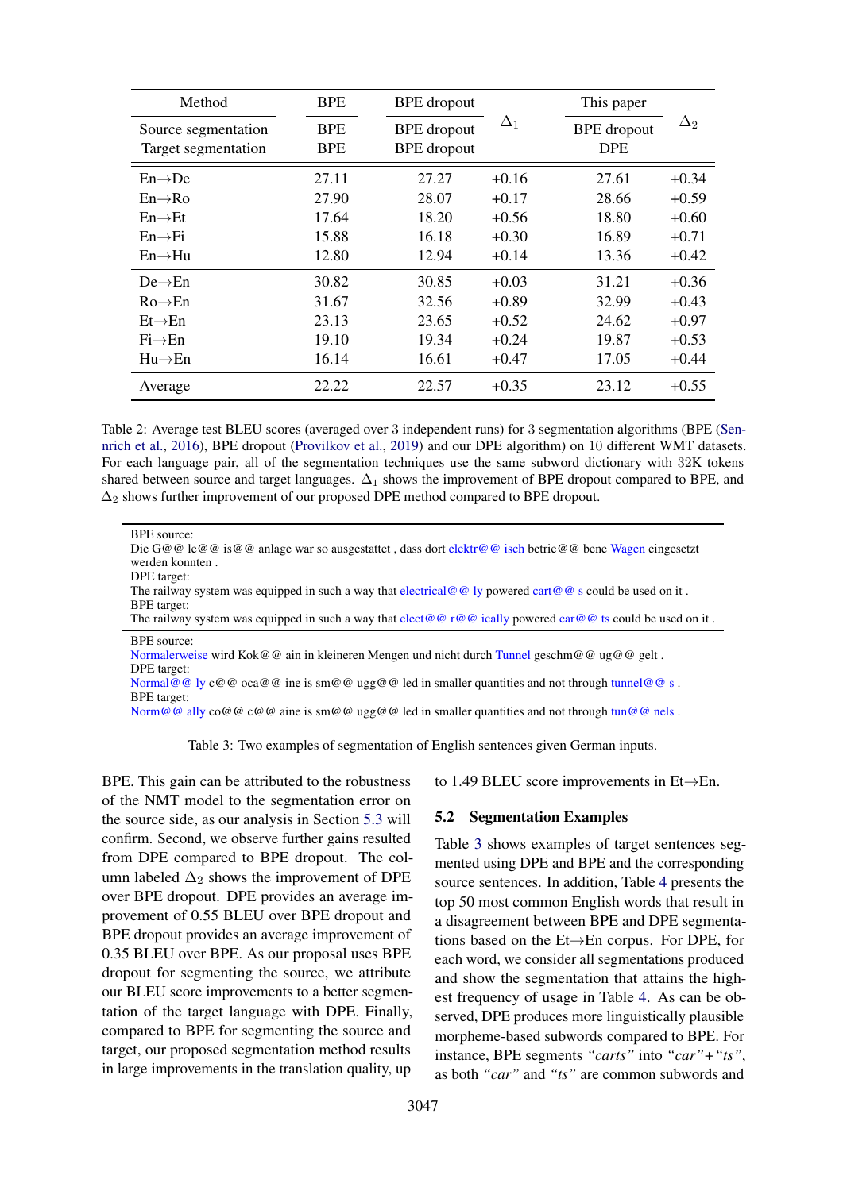<span id="page-5-0"></span>

| Method                                     | <b>BPE</b>        | <b>BPE</b> dropout                       |            | This paper                       |            |
|--------------------------------------------|-------------------|------------------------------------------|------------|----------------------------------|------------|
| Source segmentation<br>Target segmentation | <b>BPE</b><br>BPE | <b>BPE</b> dropout<br><b>BPE</b> dropout | $\Delta_1$ | <b>BPE</b> dropout<br><b>DPE</b> | $\Delta_2$ |
| $En \rightarrow De$                        | 27.11             | 27.27                                    | $+0.16$    | 27.61                            | $+0.34$    |
| $En \rightarrow Ro$                        | 27.90             | 28.07                                    | $+0.17$    | 28.66                            | $+0.59$    |
| $En \rightarrow Et$                        | 17.64             | 18.20                                    | $+0.56$    | 18.80                            | $+0.60$    |
| $En \rightarrow Fi$                        | 15.88             | 16.18                                    | $+0.30$    | 16.89                            | $+0.71$    |
| $En \rightarrow Hu$                        | 12.80             | 12.94                                    | $+0.14$    | 13.36                            | $+0.42$    |
| $De \rightarrow En$                        | 30.82             | 30.85                                    | $+0.03$    | 31.21                            | $+0.36$    |
| $Ro \rightarrow En$                        | 31.67             | 32.56                                    | $+0.89$    | 32.99                            | $+0.43$    |
| $Et\rightarrow En$                         | 23.13             | 23.65                                    | $+0.52$    | 24.62                            | $+0.97$    |
| $Fi\rightarrow En$                         | 19.10             | 19.34                                    | $+0.24$    | 19.87                            | $+0.53$    |
| $Hu \rightarrow En$                        | 16.14             | 16.61                                    | $+0.47$    | 17.05                            | $+0.44$    |
| Average                                    | 22.22             | 22.57                                    | $+0.35$    | 23.12                            | $+0.55$    |

Table 2: Average test BLEU scores (averaged over 3 independent runs) for 3 segmentation algorithms (BPE [\(Sen](#page-9-0)[nrich et al.,](#page-9-0) [2016\)](#page-9-0), BPE dropout [\(Provilkov et al.,](#page-9-1) [2019\)](#page-9-1) and our DPE algorithm) on 10 different WMT datasets. For each language pair, all of the segmentation techniques use the same subword dictionary with 32K tokens shared between source and target languages.  $\Delta_1$  shows the improvement of BPE dropout compared to BPE, and  $\Delta_2$  shows further improvement of our proposed DPE method compared to BPE dropout.

<span id="page-5-1"></span>

| <b>BPE</b> source:                                                                                                   |
|----------------------------------------------------------------------------------------------------------------------|
| Die G@@ le@@ is@@ anlage war so ausgestattet, dass dort elektr@@ isch betrie@@ bene Wagen eingesetzt                 |
| werden konnten.                                                                                                      |
| DPE target:                                                                                                          |
| The railway system was equipped in such a way that electrical@@ ly powered cart@@ s could be used on it.             |
| <b>BPE</b> target:                                                                                                   |
| The railway system was equipped in such a way that elect@@ r@@ ically powered car@@ ts could be used on it.          |
| <b>BPE</b> source:                                                                                                   |
| Normalerweise wird Kok@@ ain in kleineren Mengen und nicht durch Tunnel geschm@@ ug@@ gelt.                          |
| DPE target:                                                                                                          |
| Normal@@ ly c@@ oca@@ ine is sm@@ ugg@@ led in smaller quantities and not through tunnel@@ s.                        |
| <b>BPE</b> target:                                                                                                   |
| Norm@@ ally $\cos \theta$ c@@ $\sin \theta$ aine is sm@@ ugg@@ led in smaller quantities and not through tun@@ nels. |

Table 3: Two examples of segmentation of English sentences given German inputs.

BPE. This gain can be attributed to the robustness of the NMT model to the segmentation error on the source side, as our analysis in Section [5.3](#page-6-0) will confirm. Second, we observe further gains resulted from DPE compared to BPE dropout. The column labeled  $\Delta_2$  shows the improvement of DPE over BPE dropout. DPE provides an average improvement of 0.55 BLEU over BPE dropout and BPE dropout provides an average improvement of 0.35 BLEU over BPE. As our proposal uses BPE dropout for segmenting the source, we attribute our BLEU score improvements to a better segmentation of the target language with DPE. Finally, compared to BPE for segmenting the source and target, our proposed segmentation method results in large improvements in the translation quality, up

Table [3](#page-5-1) shows examples of target sentences segmented using DPE and BPE and the corresponding source sentences. In addition, Table [4](#page-6-1) presents the top 50 most common English words that result in a disagreement between BPE and DPE segmentations based on the Et→En corpus. For DPE, for each word, we consider all segmentations produced and show the segmentation that attains the highest frequency of usage in Table [4.](#page-6-1) As can be observed, DPE produces more linguistically plausible

morpheme-based subwords compared to BPE. For instance, BPE segments *"carts"* into *"car"+"ts"*, as both *"car"* and *"ts"* are common subwords and

to 1.49 BLEU score improvements in Et→En.

5.2 Segmentation Examples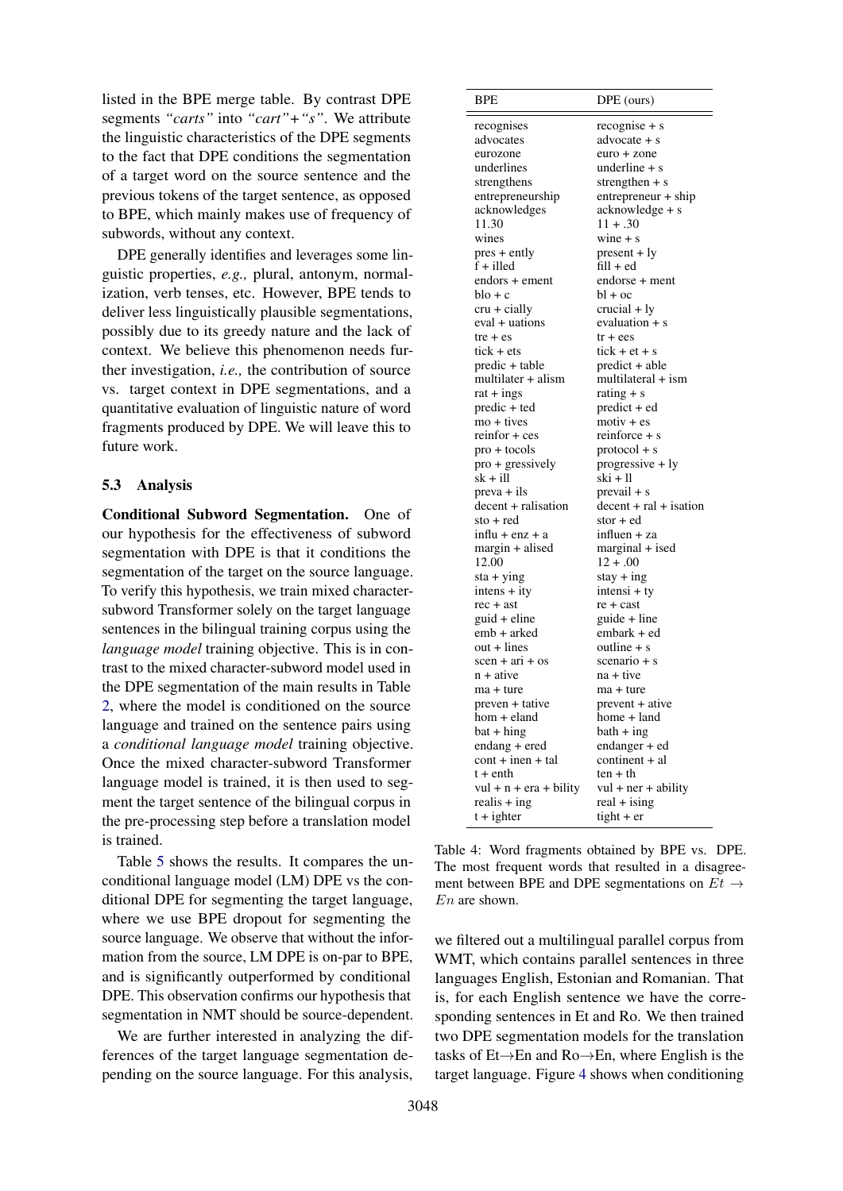listed in the BPE merge table. By contrast DPE segments *"carts"* into *"cart"+"s"*. We attribute the linguistic characteristics of the DPE segments to the fact that DPE conditions the segmentation of a target word on the source sentence and the previous tokens of the target sentence, as opposed to BPE, which mainly makes use of frequency of subwords, without any context.

DPE generally identifies and leverages some linguistic properties, *e.g.,* plural, antonym, normalization, verb tenses, etc. However, BPE tends to deliver less linguistically plausible segmentations, possibly due to its greedy nature and the lack of context. We believe this phenomenon needs further investigation, *i.e.,* the contribution of source vs. target context in DPE segmentations, and a quantitative evaluation of linguistic nature of word fragments produced by DPE. We will leave this to future work.

# <span id="page-6-0"></span>5.3 Analysis

Conditional Subword Segmentation. One of our hypothesis for the effectiveness of subword segmentation with DPE is that it conditions the segmentation of the target on the source language. To verify this hypothesis, we train mixed charactersubword Transformer solely on the target language sentences in the bilingual training corpus using the *language model* training objective. This is in contrast to the mixed character-subword model used in the DPE segmentation of the main results in Table [2,](#page-5-0) where the model is conditioned on the source language and trained on the sentence pairs using a *conditional language model* training objective. Once the mixed character-subword Transformer language model is trained, it is then used to segment the target sentence of the bilingual corpus in the pre-processing step before a translation model is trained.

Table [5](#page-7-0) shows the results. It compares the unconditional language model (LM) DPE vs the conditional DPE for segmenting the target language, where we use BPE dropout for segmenting the source language. We observe that without the information from the source, LM DPE is on-par to BPE, and is significantly outperformed by conditional DPE. This observation confirms our hypothesis that segmentation in NMT should be source-dependent.

We are further interested in analyzing the differences of the target language segmentation depending on the source language. For this analysis,

| <b>BPE</b>                      | DPE (ours)               |
|---------------------------------|--------------------------|
| recognises                      | $recognise + s$          |
| advocates                       | advocate + s             |
| eurozone                        | euro + zone              |
| underlines                      | underline + s            |
| strengthens                     | strengthen $+$ s         |
| entrepreneurship                | entrepreneur + ship      |
| acknowledges                    | $acknowledge + s$        |
| 11.30                           | $11 + .30$               |
| wines                           | wine $+$ s               |
| pres + ently                    | $present + ly$           |
| f + illed                       | $fill + ed$              |
| endors + ement                  | endorse + ment           |
| blo + c                         | $bl + oc$                |
| $cru + cially$                  | $crucial + ly$           |
| eval + uations                  | evaluation $+$ s         |
| $tre + es$                      | $tr + ees$               |
| $tick + ets$                    | tick + $et + s$          |
| predic + table                  | predict + able           |
| multilater + alism              | multilateral + ism       |
| rat $+$ ings                    | rating $+$ s             |
| predic + ted                    | predict + ed             |
| $mo + tives$                    | $motiv + es$             |
| reinfor + ces                   | reinforce $+$ s          |
| $pro +$ tocols                  | $protocol + s$           |
| pro + gressively                | $progressive + ly$       |
| sk + ill                        | ski + 11                 |
| $preva + ils$                   | $prevail + s$            |
| decent + ralisation             | $decent + ral + isation$ |
| sto + red                       | stor + ed                |
| $\text{influ} + \text{enz} + a$ | influen + za             |
| $margin + alised$               | marginal + ised          |
| 12.00                           | $12 + .00$               |
| sta + ying                      | stay + ing               |
| $intens + ity$                  | $intensi + ty$           |
| $rec + ast$                     | $re + cast$              |
| $guid + eline$                  | guide + line             |
| emb + arked                     | embark + ed              |
| $out + lines$                   | outline $+$ s            |
| $scen + ari + os$               | scenario + s             |
| $n + ative$                     | na + tive                |
| ma + ture                       | ma + ture                |
| preven + tative                 | $prevent +ative$         |
| hom + eland                     | home + land              |
| bat + hing                      | $bath + ing$             |
| endang + ered                   | endanger + ed            |
| $\cot$ + inen + tal             | continent + al           |
| t + enth                        | $ten + th$               |
| $vul + n + era + bility$        | $vul + ner + ability$    |
| realis $+$ ing                  | real + ising             |
| $t + ighter$                    | $tight + er$             |
|                                 |                          |

<span id="page-6-1"></span>L, Ë

Table 4: Word fragments obtained by BPE vs. DPE. The most frequent words that resulted in a disagreement between BPE and DPE segmentations on  $Et \rightarrow$  $En$  are shown.

we filtered out a multilingual parallel corpus from WMT, which contains parallel sentences in three languages English, Estonian and Romanian. That is, for each English sentence we have the corresponding sentences in Et and Ro. We then trained two DPE segmentation models for the translation tasks of Et→En and Ro→En, where English is the target language. Figure [4](#page-7-1) shows when conditioning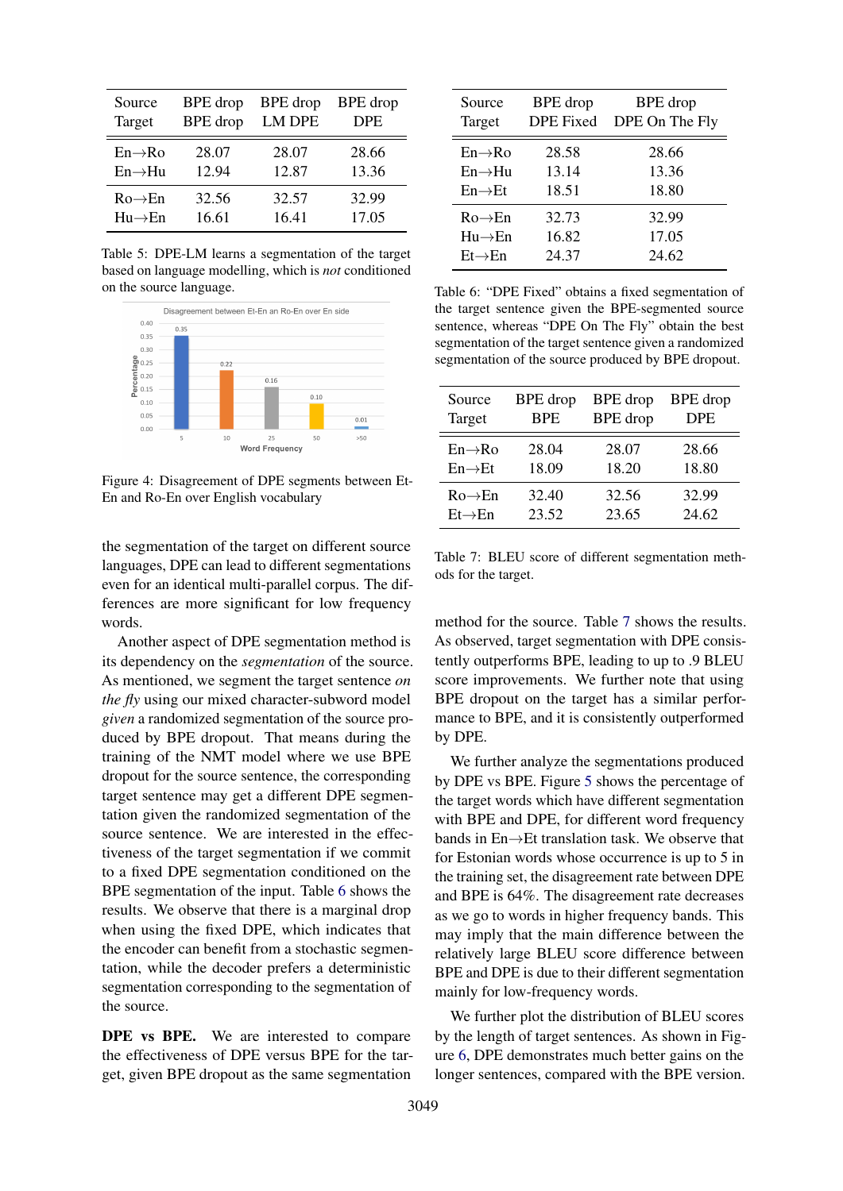<span id="page-7-0"></span>

| Source              | BPE drop        | BPE drop      | <b>BPE</b> drop |
|---------------------|-----------------|---------------|-----------------|
| Target              | <b>BPE</b> drop | <b>LM DPE</b> | <b>DPE</b>      |
| $En \rightarrow Ro$ | 28.07           | 28.07         | 28.66           |
| $En \rightarrow Hu$ | 12.94           | 12.87         | 13.36           |
| $Ro \rightarrow En$ | 32.56           | 32.57         | 32.99           |
| $Hu \rightarrow En$ | 16.61           | 16.41         | 17.05           |

Table 5: DPE-LM learns a segmentation of the target based on language modelling, which is *not* conditioned on the source language.

<span id="page-7-1"></span>

Figure 4: Disagreement of DPE segments between Et-En and Ro-En over English vocabulary

the segmentation of the target on different source languages, DPE can lead to different segmentations even for an identical multi-parallel corpus. The differences are more significant for low frequency words.

Another aspect of DPE segmentation method is its dependency on the *segmentation* of the source. As mentioned, we segment the target sentence *on the fly* using our mixed character-subword model *given* a randomized segmentation of the source produced by BPE dropout. That means during the training of the NMT model where we use BPE dropout for the source sentence, the corresponding target sentence may get a different DPE segmentation given the randomized segmentation of the source sentence. We are interested in the effectiveness of the target segmentation if we commit to a fixed DPE segmentation conditioned on the BPE segmentation of the input. Table [6](#page-7-2) shows the results. We observe that there is a marginal drop when using the fixed DPE, which indicates that the encoder can benefit from a stochastic segmentation, while the decoder prefers a deterministic segmentation corresponding to the segmentation of the source.

DPE vs BPE. We are interested to compare the effectiveness of DPE versus BPE for the target, given BPE dropout as the same segmentation

<span id="page-7-2"></span>

| Source              | <b>BPE</b> drop  | <b>BPE</b> drop |
|---------------------|------------------|-----------------|
| Target              | <b>DPE</b> Fixed | DPE On The Fly  |
| $En \rightarrow Ro$ | 28.58            | 28.66           |
| $En \rightarrow Hu$ | 13.14            | 13.36           |
| $En \rightarrow Et$ | 18.51            | 18.80           |
| $Ro \rightarrow En$ | 32.73            | 32.99           |
| $Hu \rightarrow En$ | 16.82            | 17.05           |
| $Et\rightarrow En$  | 24.37            | 24.62           |

Table 6: "DPE Fixed" obtains a fixed segmentation of the target sentence given the BPE-segmented source sentence, whereas "DPE On The Fly" obtain the best segmentation of the target sentence given a randomized segmentation of the source produced by BPE dropout.

<span id="page-7-3"></span>

| Source              | <b>BPE</b> drop | <b>BPE</b> drop | BPE drop   |
|---------------------|-----------------|-----------------|------------|
| Target              | <b>BPE</b>      | <b>BPE</b> drop | <b>DPE</b> |
| $En \rightarrow Ro$ | 28.04           | 28.07           | 28.66      |
| $En \rightarrow Et$ | 18.09           | 18.20           | 18.80      |
| $Ro \rightarrow En$ | 32.40           | 32.56           | 32.99      |
| $Et\rightarrow En$  | 23.52           | 23.65           | 24.62      |

Table 7: BLEU score of different segmentation methods for the target.

method for the source. Table [7](#page-7-3) shows the results. As observed, target segmentation with DPE consistently outperforms BPE, leading to up to .9 BLEU score improvements. We further note that using BPE dropout on the target has a similar performance to BPE, and it is consistently outperformed by DPE.

We further analyze the segmentations produced by DPE vs BPE. Figure [5](#page-8-9) shows the percentage of the target words which have different segmentation with BPE and DPE, for different word frequency bands in En→Et translation task. We observe that for Estonian words whose occurrence is up to 5 in the training set, the disagreement rate between DPE and BPE is 64%. The disagreement rate decreases as we go to words in higher frequency bands. This may imply that the main difference between the relatively large BLEU score difference between BPE and DPE is due to their different segmentation mainly for low-frequency words.

We further plot the distribution of BLEU scores by the length of target sentences. As shown in Figure [6,](#page-8-10) DPE demonstrates much better gains on the longer sentences, compared with the BPE version.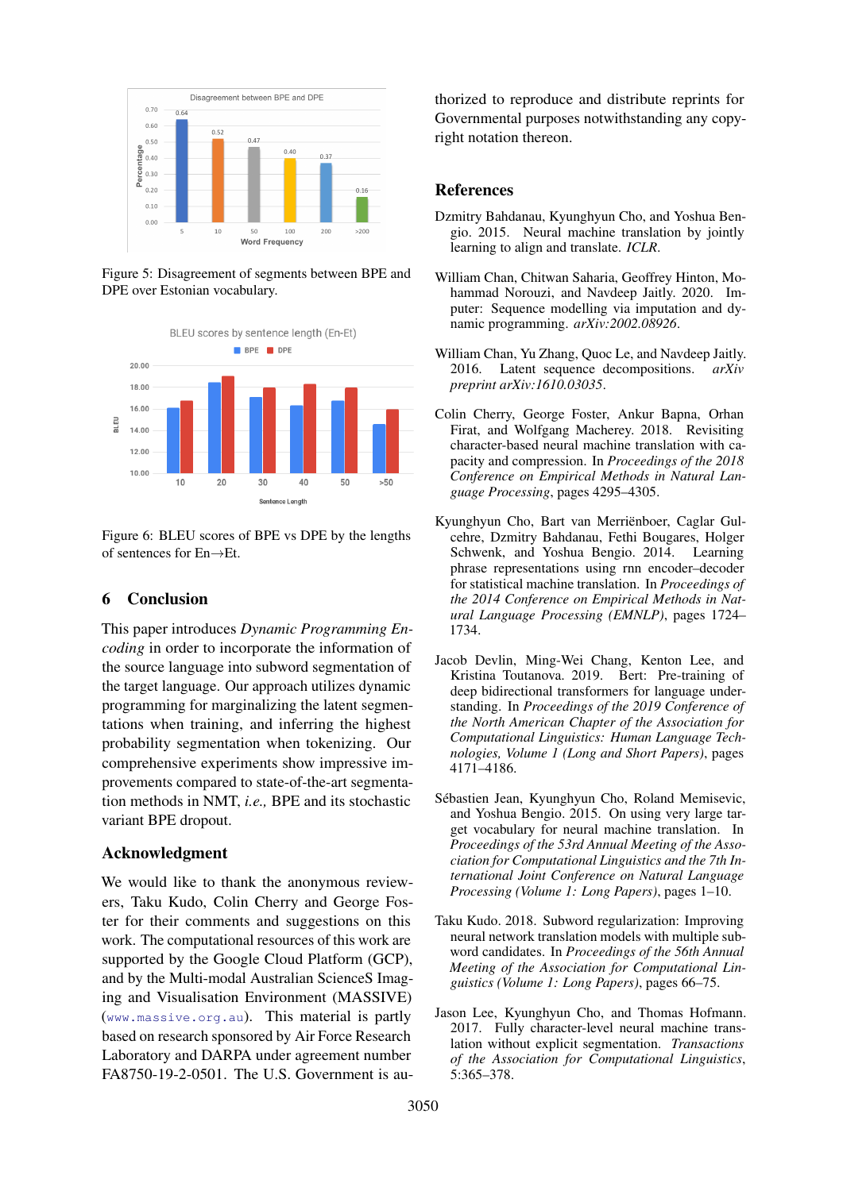<span id="page-8-9"></span>

Figure 5: Disagreement of segments between BPE and DPE over Estonian vocabulary.

<span id="page-8-10"></span>

Figure 6: BLEU scores of BPE vs DPE by the lengths of sentences for En→Et.

# 6 Conclusion

This paper introduces *Dynamic Programming Encoding* in order to incorporate the information of the source language into subword segmentation of the target language. Our approach utilizes dynamic programming for marginalizing the latent segmentations when training, and inferring the highest probability segmentation when tokenizing. Our comprehensive experiments show impressive improvements compared to state-of-the-art segmentation methods in NMT, *i.e.,* BPE and its stochastic variant BPE dropout.

# Acknowledgment

We would like to thank the anonymous reviewers, Taku Kudo, Colin Cherry and George Foster for their comments and suggestions on this work. The computational resources of this work are supported by the Google Cloud Platform (GCP), and by the Multi-modal Australian ScienceS Imaging and Visualisation Environment (MASSIVE) (<www.massive.org.au>). This material is partly based on research sponsored by Air Force Research Laboratory and DARPA under agreement number FA8750-19-2-0501. The U.S. Government is authorized to reproduce and distribute reprints for Governmental purposes notwithstanding any copyright notation thereon.

### References

- <span id="page-8-2"></span>Dzmitry Bahdanau, Kyunghyun Cho, and Yoshua Bengio. 2015. Neural machine translation by jointly learning to align and translate. *ICLR*.
- <span id="page-8-8"></span>William Chan, Chitwan Saharia, Geoffrey Hinton, Mohammad Norouzi, and Navdeep Jaitly. 2020. Imputer: Sequence modelling via imputation and dynamic programming. *arXiv:2002.08926*.
- <span id="page-8-7"></span>William Chan, Yu Zhang, Quoc Le, and Navdeep Jaitly. 2016. Latent sequence decompositions. *arXiv preprint arXiv:1610.03035*.
- <span id="page-8-6"></span>Colin Cherry, George Foster, Ankur Bapna, Orhan Firat, and Wolfgang Macherey. 2018. Revisiting character-based neural machine translation with capacity and compression. In *Proceedings of the 2018 Conference on Empirical Methods in Natural Language Processing*, pages 4295–4305.
- <span id="page-8-3"></span>Kyunghyun Cho, Bart van Merriënboer, Caglar Gulcehre, Dzmitry Bahdanau, Fethi Bougares, Holger Schwenk, and Yoshua Bengio. 2014. Learning phrase representations using rnn encoder–decoder for statistical machine translation. In *Proceedings of the 2014 Conference on Empirical Methods in Natural Language Processing (EMNLP)*, pages 1724– 1734.
- <span id="page-8-0"></span>Jacob Devlin, Ming-Wei Chang, Kenton Lee, and Kristina Toutanova. 2019. Bert: Pre-training of deep bidirectional transformers for language understanding. In *Proceedings of the 2019 Conference of the North American Chapter of the Association for Computational Linguistics: Human Language Technologies, Volume 1 (Long and Short Papers)*, pages 4171–4186.
- <span id="page-8-4"></span>Sebastien Jean, Kyunghyun Cho, Roland Memisevic, ´ and Yoshua Bengio. 2015. On using very large target vocabulary for neural machine translation. In *Proceedings of the 53rd Annual Meeting of the Association for Computational Linguistics and the 7th International Joint Conference on Natural Language Processing (Volume 1: Long Papers)*, pages 1–10.
- <span id="page-8-1"></span>Taku Kudo. 2018. Subword regularization: Improving neural network translation models with multiple subword candidates. In *Proceedings of the 56th Annual Meeting of the Association for Computational Linguistics (Volume 1: Long Papers)*, pages 66–75.
- <span id="page-8-5"></span>Jason Lee, Kyunghyun Cho, and Thomas Hofmann. 2017. Fully character-level neural machine translation without explicit segmentation. *Transactions of the Association for Computational Linguistics*, 5:365–378.